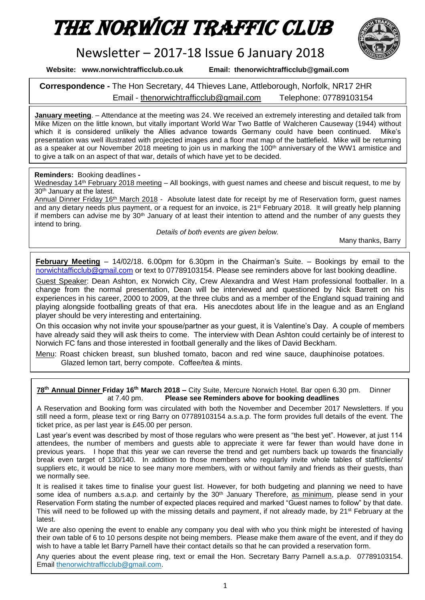# The Norwich Traffic Club



## Newsletter – 2017-18 Issue 6 January 2018

**Website: www.norwichtrafficclub.co.uk Email: thenorwichtrafficclub@gmail.com**

**Correspondence -** The Hon Secretary, 44 Thieves Lane, Attleborough, Norfolk, NR17 2HR Email - [thenorwichtrafficclub@gmail.com](mailto:thenorwichtrafficclub@gmail.com) Telephone: 07789103154

**January meeting**. – Attendance at the meeting was 24. We received an extremely interesting and detailed talk from Mike Mizen on the little known, but vitally important World War Two Battle of Walcheren Causeway (1944) without which it is considered unlikely the Allies advance towards Germany could have been continued. Mike's presentation was well illustrated with projected images and a floor mat map of the battlefield. Mike will be returning as a speaker at our November 2018 meeting to join us in marking the 100<sup>th</sup> anniversary of the WW1 armistice and to give a talk on an aspect of that war, details of which have yet to be decided.

#### **Reminders:** Booking deadlines **-**

Wednesday 14<sup>th</sup> February 2018 meeting – All bookings, with guest names and cheese and biscuit request, to me by 30th January at the latest.

Annual Dinner Friday 16<sup>th</sup> March 2018 - Absolute latest date for receipt by me of Reservation form, quest names and any dietary needs plus payment, or a request for an invoice, is 21<sup>st</sup> February 2018. It will greatly help planning if members can advise me by 30th January of at least their intention to attend and the number of any guests they intend to bring.

*Details of both events are given below.*

Many thanks, Barry

**February Meeting** – 14/02/18. 6.00pm for 6.30pm in the Chairman's Suite. – Bookings by email to the [norwichtafficclub@gmail.com](mailto:norwichtafficclub@gmail.com) or text to 07789103154. Please see reminders above for last booking deadline.

Guest Speaker: Dean Ashton, ex Norwich City, Crew Alexandra and West Ham professional footballer. In a change from the normal presentation, Dean will be interviewed and questioned by Nick Barrett on his experiences in his career, 2000 to 2009, at the three clubs and as a member of the England squad training and playing alongside footballing greats of that era. His anecdotes about life in the league and as an England player should be very interesting and entertaining.

On this occasion why not invite your spouse/partner as your guest, it is Valentine's Day. A couple of members have already said they will ask theirs to come. The interview with Dean Ashton could certainly be of interest to Norwich FC fans and those interested in football generally and the likes of David Beckham.

Menu: Roast chicken breast, sun blushed tomato, bacon and red wine sauce, dauphinoise potatoes. Glazed lemon tart, berry compote. Coffee/tea & mints.

#### **78th Annual Dinner Friday 16th March 2018 –** City Suite, Mercure Norwich Hotel. Bar open 6.30 pm. Dinner at 7.40 pm. **Please see Reminders above for booking deadlines**

A Reservation and Booking form was circulated with both the November and December 2017 Newsletters. If you still need a form, please text or ring Barry on 07789103154 a.s.a.p. The form provides full details of the event. The ticket price, as per last year is £45.00 per person.

Last year's event was described by most of those regulars who were present as "the best yet". However, at just 114 attendees, the number of members and guests able to appreciate it were far fewer than would have done in previous years. I hope that this year we can reverse the trend and get numbers back up towards the financially break even target of 130/140. In addition to those members who regularly invite whole tables of staff/clients/ suppliers etc, it would be nice to see many more members, with or without family and friends as their guests, than we normally see.

It is realised it takes time to finalise your guest list. However, for both budgeting and planning we need to have some idea of numbers a.s.a.p. and certainly by the 30<sup>th</sup> January Therefore, as minimum, please send in your Reservation Form stating the number of expected places required and marked "Guest names to follow" by that date. This will need to be followed up with the missing details and payment, if not already made, by 21st February at the latest.

We are also opening the event to enable any company you deal with who you think might be interested of having their own table of 6 to 10 persons despite not being members. Please make them aware of the event, and if they do wish to have a table let Barry Parnell have their contact details so that he can provided a reservation form.

Any queries about the event please ring, text or email the Hon. Secretary Barry Parnell a.s.a.p. 07789103154. Email thenorwichtrafficclub@gmail.com.